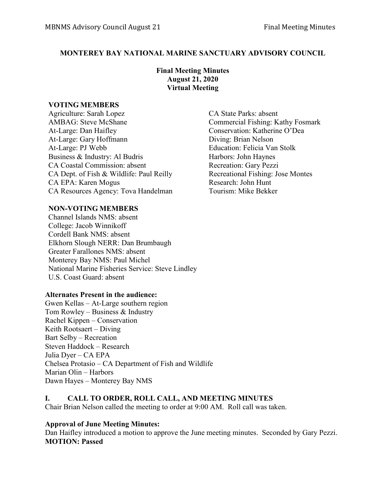## **MONTEREY BAY NATIONAL MARINE SANCTUARY ADVISORY COUNCIL**

## **Final Meeting Minutes August 21, 2020 Virtual Meeting**

### **VOTING MEMBERS**

Agriculture: Sarah Lopez CA State Parks: absent AMBAG: Steve McShane Commercial Fishing: Kathy Fosmark At-Large: Dan Haifley Conservation: Katherine O'Dea At-Large: Gary Hoffmann Diving: Brian Nelson At-Large: PJ Webb Education: Felicia Van Stolk Business & Industry: Al Budris Harbors: John Haynes CA Coastal Commission: absent Recreation: Gary Pezzi CA Dept. of Fish & Wildlife: Paul Reilly Recreational Fishing: Jose Montes CA EPA: Karen Mogus Research: John Hunt CA Resources Agency: Tova Handelman Tourism: Mike Bekker

## **NON-VOTING MEMBERS**

Channel Islands NMS: absent College: Jacob Winnikoff Cordell Bank NMS: absent Elkhorn Slough NERR: Dan Brumbaugh Greater Farallones NMS: absent Monterey Bay NMS: Paul Michel National Marine Fisheries Service: Steve Lindley U.S. Coast Guard: absent

#### **Alternates Present in the audience:**

Gwen Kellas – At-Large southern region Tom Rowley – Business  $&$  Industry Rachel Kippen – Conservation Keith Rootsaert – Diving Bart Selby – Recreation Steven Haddock – Research Julia Dyer – CA EPA Chelsea Protasio – CA Department of Fish and Wildlife Marian Olin – Harbors Dawn Hayes – Monterey Bay NMS

## **I. CALL TO ORDER, ROLL CALL, AND MEETING MINUTES**

Chair Brian Nelson called the meeting to order at 9:00 AM. Roll call was taken.

## **Approval of June Meeting Minutes:**

Dan Haifley introduced a motion to approve the June meeting minutes. Seconded by Gary Pezzi. **MOTION: Passed**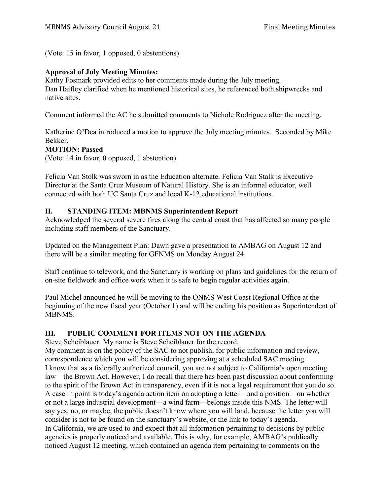(Vote: 15 in favor, 1 opposed, 0 abstentions)

## **Approval of July Meeting Minutes:**

Kathy Fosmark provided edits to her comments made during the July meeting. Dan Haifley clarified when he mentioned historical sites, he referenced both shipwrecks and native sites.

Comment informed the AC he submitted comments to Nichole Rodriguez after the meeting.

Katherine O'Dea introduced a motion to approve the July meeting minutes. Seconded by Mike Bekker.

### **MOTION: Passed**

(Vote: 14 in favor, 0 opposed, 1 abstention)

Felicia Van Stolk was sworn in as the Education alternate. Felicia Van Stalk is Executive Director at the Santa Cruz Museum of Natural History. She is an informal educator, well connected with both UC Santa Cruz and local K-12 educational institutions.

### **II. STANDING ITEM: MBNMS Superintendent Report**

Acknowledged the several severe fires along the central coast that has affected so many people including staff members of the Sanctuary.

Updated on the Management Plan: Dawn gave a presentation to AMBAG on August 12 and there will be a similar meeting for GFNMS on Monday August 24.

Staff continue to telework, and the Sanctuary is working on plans and guidelines for the return of on-site fieldwork and office work when it is safe to begin regular activities again.

Paul Michel announced he will be moving to the ONMS West Coast Regional Office at the beginning of the new fiscal year (October 1) and will be ending his position as Superintendent of MBNMS.

## **III. PUBLIC COMMENT FOR ITEMS NOT ON THE AGENDA**

Steve Scheiblauer: My name is Steve Scheiblauer for the record.

My comment is on the policy of the SAC to not publish, for public information and review, correspondence which you will be considering approving at a scheduled SAC meeting. I know that as a federally authorized council, you are not subject to California's open meeting law—the Brown Act. However, I do recall that there has been past discussion about conforming to the spirit of the Brown Act in transparency, even if it is not a legal requirement that you do so. A case in point is today's agenda action item on adopting a letter—and a position—on whether or not a large industrial development—a wind farm—belongs inside this NMS. The letter will say yes, no, or maybe, the public doesn't know where you will land, because the letter you will consider is not to be found on the sanctuary's website, or the link to today's agenda. In California, we are used to and expect that all information pertaining to decisions by public agencies is properly noticed and available. This is why, for example, AMBAG's publically noticed August 12 meeting, which contained an agenda item pertaining to comments on the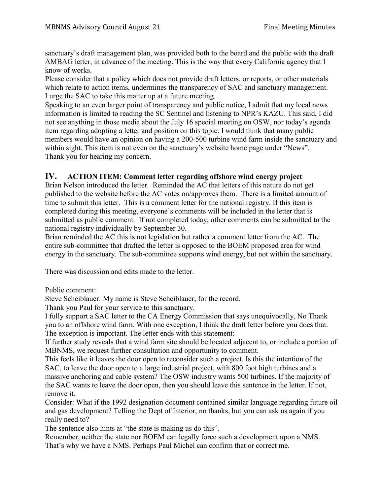sanctuary's draft management plan, was provided both to the board and the public with the draft AMBAG letter, in advance of the meeting. This is the way that every California agency that I know of works.

Please consider that a policy which does not provide draft letters, or reports, or other materials which relate to action items, undermines the transparency of SAC and sanctuary management. I urge the SAC to take this matter up at a future meeting.

Speaking to an even larger point of transparency and public notice, I admit that my local news information is limited to reading the SC Sentinel and listening to NPR's KAZU. This said, I did not see anything in those media about the July 16 special meeting on OSW, nor today's agenda item regarding adopting a letter and position on this topic. I would think that many public members would have an opinion on having a 200-500 turbine wind farm inside the sanctuary and within sight. This item is not even on the sanctuary's website home page under "News". Thank you for hearing my concern.

## **IV. ACTION ITEM: Comment letter regarding offshore wind energy project**

Brian Nelson introduced the letter. Reminded the AC that letters of this nature do not get published to the website before the AC votes on/approves them. There is a limited amount of time to submit this letter. This is a comment letter for the national registry. If this item is completed during this meeting, everyone's comments will be included in the letter that is submitted as public comment. If not completed today, other comments can be submitted to the national registry individually by September 30.

Brian reminded the AC this is not legislation but rather a comment letter from the AC. The entire sub-committee that drafted the letter is opposed to the BOEM proposed area for wind energy in the sanctuary. The sub-committee supports wind energy, but not within the sanctuary.

There was discussion and edits made to the letter.

Public comment:

Steve Scheiblauer: My name is Steve Scheiblauer, for the record.

Thank you Paul for your service to this sanctuary.

I fully support a SAC letter to the CA Energy Commission that says unequivocally, No Thank you to an offshore wind farm. With one exception, I think the draft letter before you does that. The exception is important. The letter ends with this statement:

If further study reveals that a wind farm site should be located adjacent to, or include a portion of MBNMS, we request further consultation and opportunity to comment.

This feels like it leaves the door open to reconsider such a project. Is this the intention of the SAC, to leave the door open to a large industrial project, with 800 foot high turbines and a massive anchoring and cable system? The OSW industry wants 500 turbines. If the majority of the SAC wants to leave the door open, then you should leave this sentence in the letter. If not, remove it.

Consider: What if the 1992 designation document contained similar language regarding future oil and gas development? Telling the Dept of Interior, no thanks, but you can ask us again if you really need to?

The sentence also hints at "the state is making us do this".

Remember, neither the state nor BOEM can legally force such a development upon a NMS. That's why we have a NMS. Perhaps Paul Michel can confirm that or correct me.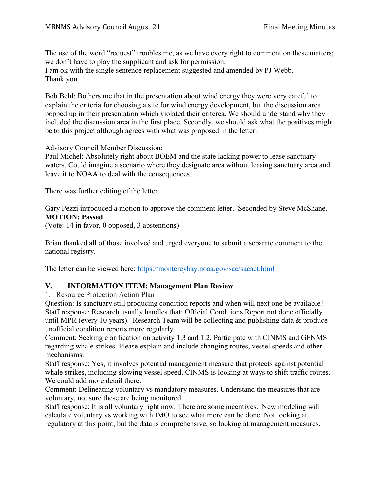The use of the word "request" troubles me, as we have every right to comment on these matters; we don't have to play the supplicant and ask for permission. I am ok with the single sentence replacement suggested and amended by PJ Webb. Thank you

Bob Behl: Bothers me that in the presentation about wind energy they were very careful to explain the criteria for choosing a site for wind energy development, but the discussion area popped up in their presentation which violated their criterea. We should understand why they included the discussion area in the first place. Secondly, we should ask what the positives might be to this project although agrees with what was proposed in the letter.

#### Advisory Council Member Discussion:

Paul Michel: Absolutely right about BOEM and the state lacking power to lease sanctuary waters. Could imagine a scenario where they designate area without leasing sanctuary area and leave it to NOAA to deal with the consequences.

There was further editing of the letter.

Gary Pezzi introduced a motion to approve the comment letter. Seconded by Steve McShane. **MOTION: Passed**

(Vote: 14 in favor, 0 opposed, 3 abstentions)

Brian thanked all of those involved and urged everyone to submit a separate comment to the national registry.

The letter can be viewed here:<https://montereybay.noaa.gov/sac/sacact.html>

## **V. INFORMATION ITEM: Management Plan Review**

1. Resource Protection Action Plan

Question: Is sanctuary still producing condition reports and when will next one be available? Staff response: Research usually handles that: Official Conditions Report not done officially until MPR (every 10 years). Research Team will be collecting and publishing data & produce unofficial condition reports more regularly.

Comment: Seeking clarification on activity 1.3 and 1.2. Participate with CINMS and GFNMS regarding whale strikes. Please explain and include changing routes, vessel speeds and other mechanisms.

Staff response: Yes, it involves potential management measure that protects against potential whale strikes, including slowing vessel speed. CINMS is looking at ways to shift traffic routes. We could add more detail there.

Comment: Delineating voluntary vs mandatory measures. Understand the measures that are voluntary, not sure these are being monitored.

Staff response: It is all voluntary right now. There are some incentives. New modeling will calculate voluntary vs working with IMO to see what more can be done. Not looking at regulatory at this point, but the data is comprehensive, so looking at management measures.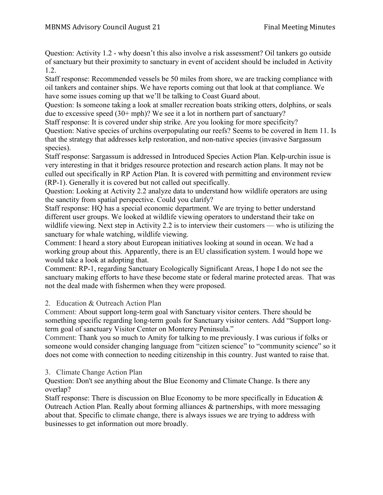Question: Activity 1.2 - why doesn't this also involve a risk assessment? Oil tankers go outside of sanctuary but their proximity to sanctuary in event of accident should be included in Activity 1.2.

Staff response: Recommended vessels be 50 miles from shore, we are tracking compliance with oil tankers and container ships. We have reports coming out that look at that compliance. We have some issues coming up that we'll be talking to Coast Guard about.

Question: Is someone taking a look at smaller recreation boats striking otters, dolphins, or seals due to excessive speed (30+ mph)? We see it a lot in northern part of sanctuary?

Staff response: It is covered under ship strike. Are you looking for more specificity? Question: Native species of urchins overpopulating our reefs? Seems to be covered in Item 11. Is that the strategy that addresses kelp restoration, and non-native species (invasive Sargassum

species).

Staff response: Sargassum is addressed in Introduced Species Action Plan. Kelp-urchin issue is very interesting in that it bridges resource protection and research action plans. It may not be culled out specifically in RP Action Plan. It is covered with permitting and environment review (RP-1). Generally it is covered but not called out specifically.

Question: Looking at Activity 2.2 analyze data to understand how wildlife operators are using the sanctity from spatial perspective. Could you clarify?

Staff response: HQ has a special economic department. We are trying to better understand different user groups. We looked at wildlife viewing operators to understand their take on wildlife viewing. Next step in Activity 2.2 is to interview their customers — who is utilizing the sanctuary for whale watching, wildlife viewing.

Comment: I heard a story about European initiatives looking at sound in ocean. We had a working group about this. Apparently, there is an EU classification system. I would hope we would take a look at adopting that.

Comment: RP-1, regarding Sanctuary Ecologically Significant Areas, I hope I do not see the sanctuary making efforts to have these become state or federal marine protected areas. That was not the deal made with fishermen when they were proposed.

# 2. Education & Outreach Action Plan

Comment: About support long-term goal with Sanctuary visitor centers. There should be something specific regarding long-term goals for Sanctuary visitor centers. Add "Support longterm goal of sanctuary Visitor Center on Monterey Peninsula."

Comment: Thank you so much to Amity for talking to me previously. I was curious if folks or someone would consider changing language from "citizen science" to "community science" so it does not come with connection to needing citizenship in this country. Just wanted to raise that.

# 3. Climate Change Action Plan

Question: Don't see anything about the Blue Economy and Climate Change. Is there any overlap?

Staff response: There is discussion on Blue Economy to be more specifically in Education & Outreach Action Plan. Really about forming alliances & partnerships, with more messaging about that. Specific to climate change, there is always issues we are trying to address with businesses to get information out more broadly.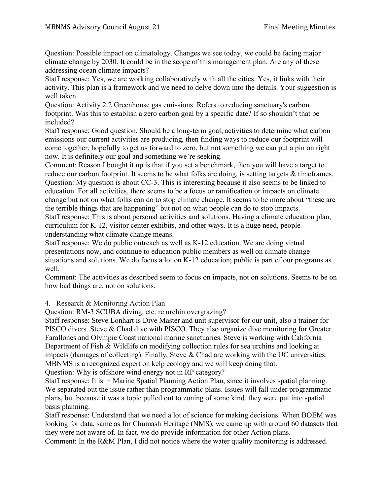Question: Possible impact on climatology. Changes we see today, we could be facing major climate change by 2030. It could be in the scope of this management plan. Are any of these addressing ocean climate impacts?

Staff response: Yes, we are working collaboratively with all the cities. Yes, it links with their activity. This plan is a framework and we need to delve down into the details. Your suggestion is well taken.

Question: Activity 2.2 Greenhouse gas emissions. Refers to reducing sanctuary's carbon footprint. Was this to establish a zero carbon goal by a specific date? If so shouldn't that be included?

Staff response: Good question. Should be a long-term goal, activities to determine what carbon emissions our current activities are producing, then finding ways to reduce our footprint will come together, hopefully to get us forward to zero, but not something we can put a pin on right now. It is definitely our goal and something we're seeking.

Comment: Reason I bought it up is that if you set a benchmark, then you will have a target to reduce our carbon footprint. It seems to be what folks are doing, is setting targets & timeframes. Question: My question is about CC-3. This is interesting because it also seems to be linked to education. For all activities, there seems to be a focus or ramification or impacts on climate change but not on what folks can do to stop climate change. It seems to be more about "these are the terrible things that are happening" but not on what people can do to stop impacts. Staff response: This is about personal activities and solutions. Having a climate education plan, curriculum for K-12, visitor center exhibits, and other ways. It is a huge need, people understanding what climate change means.

Staff response: We do public outreach as well as K-12 education. We are doing virtual presentations now, and continue to education public members as well on climate change situations and solutions. We do focus a lot on K-12 education; public is part of our programs as well.

Comment: The activities as described seem to focus on impacts, not on solutions. Seems to be on how bad things are, not on solutions.

4. Research & Monitoring Action Plan

Question: RM-3 SCUBA diving, etc. re urchin overgrazing?

Staff response: Steve Lonhart is Dive Master and unit supervisor for our unit, also a trainer for PISCO divers. Steve & Chad dive with PISCO. They also organize dive monitoring for Greater Farallones and Olympic Coast national marine sanctuaries. Steve is working with California Department of Fish & Wildlife on modifying collection rules for sea urchins and looking at impacts (damages of collecting). Finally, Steve & Chad are working with the UC universities. MBNMS is a recognized expert on kelp ecology and we will keep doing that.

Question: Why is offshore wind energy not in RP category?

Staff response: It is in Marine Spatial Planning Action Plan, since it involves spatial planning. We separated out the issue rather than programmatic plans. Issues will fall under programmatic plans, but because it was a topic pulled out to zoning of some kind, they were put into spatial basis planning.

Staff response: Understand that we need a lot of science for making decisions. When BOEM was looking for data, same as for Chumash Heritage (NMS), we came up with around 60 datasets that they were not aware of. In fact, we do provide information for other Action plans.

Comment: In the R&M Plan, I did not notice where the water quality monitoring is addressed.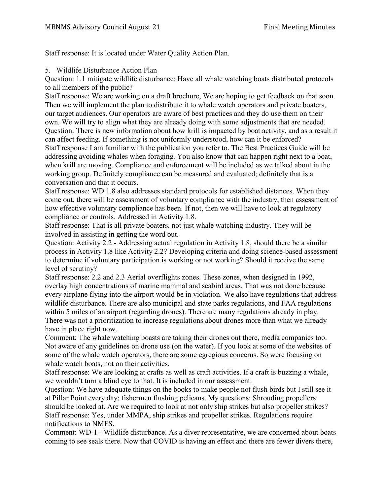Staff response: It is located under Water Quality Action Plan.

5. Wildlife Disturbance Action Plan

Question: 1.1 mitigate wildlife disturbance: Have all whale watching boats distributed protocols to all members of the public?

Staff response: We are working on a draft brochure, We are hoping to get feedback on that soon. Then we will implement the plan to distribute it to whale watch operators and private boaters, our target audiences. Our operators are aware of best practices and they do use them on their own. We will try to align what they are already doing with some adjustments that are needed. Question: There is new information about how krill is impacted by boat activity, and as a result it can affect feeding. If something is not uniformly understood, how can it be enforced? Staff response I am familiar with the publication you refer to. The Best Practices Guide will be addressing avoiding whales when foraging. You also know that can happen right next to a boat, when krill are moving. Compliance and enforcement will be included as we talked about in the working group. Definitely compliance can be measured and evaluated; definitely that is a conversation and that it occurs.

Staff response: WD 1.8 also addresses standard protocols for established distances. When they come out, there will be assessment of voluntary compliance with the industry, then assessment of how effective voluntary compliance has been. If not, then we will have to look at regulatory compliance or controls. Addressed in Activity 1.8.

Staff response: That is all private boaters, not just whale watching industry. They will be involved in assisting in getting the word out.

Question: Activity 2.2 - Addressing actual regulation in Activity 1.8, should there be a similar process in Activity 1.8 like Activity 2.2? Developing criteria and doing science-based assessment to determine if voluntary participation is working or not working? Should it receive the same level of scrutiny?

Staff response: 2.2 and 2.3 Aerial overflights zones. These zones, when designed in 1992, overlay high concentrations of marine mammal and seabird areas. That was not done because every airplane flying into the airport would be in violation. We also have regulations that address wildlife disturbance. There are also municipal and state parks regulations, and FAA regulations within 5 miles of an airport (regarding drones). There are many regulations already in play. There was not a prioritization to increase regulations about drones more than what we already have in place right now.

Comment: The whale watching boasts are taking their drones out there, media companies too. Not aware of any guidelines on drone use (on the water). If you look at some of the websites of some of the whale watch operators, there are some egregious concerns. So were focusing on whale watch boats, not on their activities.

Staff response: We are looking at crafts as well as craft activities. If a craft is buzzing a whale, we wouldn't turn a blind eye to that. It is included in our assessment.

Question: We have adequate things on the books to make people not flush birds but I still see it at Pillar Point every day; fishermen flushing pelicans. My questions: Shrouding propellers should be looked at. Are we required to look at not only ship strikes but also propeller strikes? Staff response: Yes, under MMPA, ship strikes and propeller strikes. Regulations require notifications to NMFS.

Comment: WD-1 - Wildlife disturbance. As a diver representative, we are concerned about boats coming to see seals there. Now that COVID is having an effect and there are fewer divers there,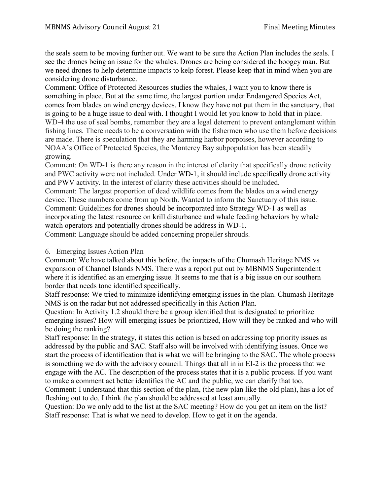the seals seem to be moving further out. We want to be sure the Action Plan includes the seals. I see the drones being an issue for the whales. Drones are being considered the boogey man. But we need drones to help determine impacts to kelp forest. Please keep that in mind when you are considering drone disturbance.

Comment: Office of Protected Resources studies the whales, I want you to know there is something in place. But at the same time, the largest portion under Endangered Species Act, comes from blades on wind energy devices. I know they have not put them in the sanctuary, that is going to be a huge issue to deal with. I thought I would let you know to hold that in place. WD-4 the use of seal bombs, remember they are a legal deterrent to prevent entanglement within fishing lines. There needs to be a conversation with the fishermen who use them before decisions are made. There is speculation that they are harming harbor porpoises, however according to NOAA's Office of Protected Species, the Monterey Bay subpopulation has been steadily growing.

Comment: On WD-1 is there any reason in the interest of clarity that specifically drone activity and PWC activity were not included. Under WD-1, it should include specifically drone activity and PWV activity. In the interest of clarity these activities should be included.

Comment: The largest proportion of dead wildlife comes from the blades on a wind energy device. These numbers come from up North. Wanted to inform the Sanctuary of this issue. Comment: Guidelines for drones should be incorporated into Strategy WD-1 as well as incorporating the latest resource on krill disturbance and whale feeding behaviors by whale watch operators and potentially drones should be address in WD-1.

Comment: Language should be added concerning propeller shrouds.

## 6. Emerging Issues Action Plan

Comment: We have talked about this before, the impacts of the Chumash Heritage NMS vs expansion of Channel Islands NMS. There was a report put out by MBNMS Superintendent where it is identified as an emerging issue. It seems to me that is a big issue on our southern border that needs tone identified specifically.

Staff response: We tried to minimize identifying emerging issues in the plan. Chumash Heritage NMS is on the radar but not addressed specifically in this Action Plan.

Question: In Activity 1.2 should there be a group identified that is designated to prioritize emerging issues? How will emerging issues be prioritized, How will they be ranked and who will be doing the ranking?

Staff response: In the strategy, it states this action is based on addressing top priority issues as addressed by the public and SAC. Staff also will be involved with identifying issues. Once we start the process of identification that is what we will be bringing to the SAC. The whole process is something we do with the advisory council. Things that all in in EI-2 is the process that we engage with the AC. The description of the process states that it is a public process. If you want to make a comment act better identifies the AC and the public, we can clarify that too.

Comment: I understand that this section of the plan, (the new plan like the old plan), has a lot of fleshing out to do. I think the plan should be addressed at least annually.

Question: Do we only add to the list at the SAC meeting? How do you get an item on the list? Staff response: That is what we need to develop. How to get it on the agenda.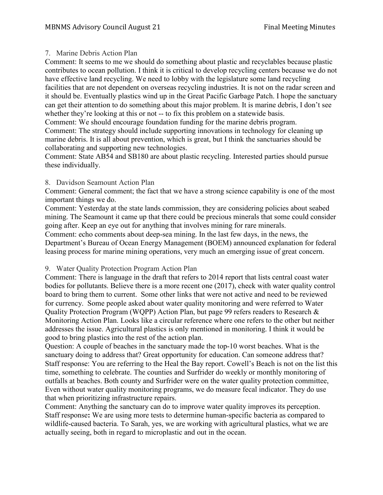## 7. Marine Debris Action Plan

Comment: It seems to me we should do something about plastic and recyclables because plastic contributes to ocean pollution. I think it is critical to develop recycling centers because we do not have effective land recycling. We need to lobby with the legislature some land recycling facilities that are not dependent on overseas recycling industries. It is not on the radar screen and it should be. Eventually plastics wind up in the Great Pacific Garbage Patch. I hope the sanctuary can get their attention to do something about this major problem. It is marine debris, I don't see whether they're looking at this or not -- to fix this problem on a statewide basis.

Comment: We should encourage foundation funding for the marine debris program. Comment: The strategy should include supporting innovations in technology for cleaning up marine debris. It is all about prevention, which is great, but I think the sanctuaries should be collaborating and supporting new technologies.

Comment: State AB54 and SB180 are about plastic recycling. Interested parties should pursue these individually.

### 8. Davidson Seamount Action Plan

Comment: General comment; the fact that we have a strong science capability is one of the most important things we do.

Comment: Yesterday at the state lands commission, they are considering policies about seabed mining. The Seamount it came up that there could be precious minerals that some could consider going after. Keep an eye out for anything that involves mining for rare minerals.

Comment: echo comments about deep-sea mining. In the last few days, in the news, the Department's Bureau of Ocean Energy Management (BOEM) announced explanation for federal leasing process for marine mining operations, very much an emerging issue of great concern.

## 9. Water Quality Protection Program Action Plan

Comment: There is language in the draft that refers to 2014 report that lists central coast water bodies for pollutants. Believe there is a more recent one (2017), check with water quality control board to bring them to current. Some other links that were not active and need to be reviewed for currency. Some people asked about water quality monitoring and were referred to Water Quality Protection Program (WQPP) Action Plan, but page 99 refers readers to Research & Monitoring Action Plan. Looks like a circular reference where one refers to the other but neither addresses the issue. Agricultural plastics is only mentioned in monitoring. I think it would be good to bring plastics into the rest of the action plan.

Question: A couple of beaches in the sanctuary made the top-10 worst beaches. What is the sanctuary doing to address that? Great opportunity for education. Can someone address that? Staff response: You are referring to the Heal the Bay report. Cowell's Beach is not on the list this time, something to celebrate. The counties and Surfrider do weekly or monthly monitoring of outfalls at beaches. Both county and Surfrider were on the water quality protection committee, Even without water quality monitoring programs, we do measure fecal indicator. They do use that when prioritizing infrastructure repairs.

Comment: Anything the sanctuary can do to improve water quality improves its perception. Staff response**:** We are using more tests to determine human-specific bacteria as compared to wildlife-caused bacteria. To Sarah, yes, we are working with agricultural plastics, what we are actually seeing, both in regard to microplastic and out in the ocean.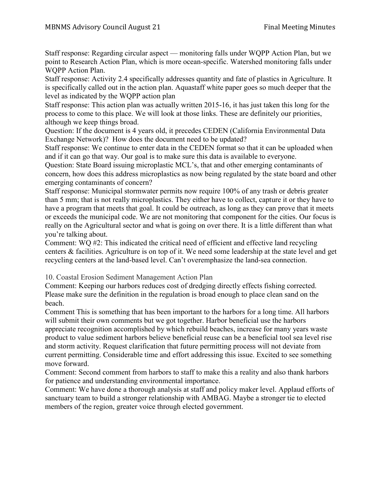Staff response: Regarding circular aspect — monitoring falls under WQPP Action Plan, but we point to Research Action Plan, which is more ocean-specific. Watershed monitoring falls under WQPP Action Plan.

Staff response: Activity 2.4 specifically addresses quantity and fate of plastics in Agriculture. It is specifically called out in the action plan. Aquastaff white paper goes so much deeper that the level as indicated by the WQPP action plan

Staff response: This action plan was actually written 2015-16, it has just taken this long for the process to come to this place. We will look at those links. These are definitely our priorities, although we keep things broad.

Question: If the document is 4 years old, it precedes CEDEN (California Environmental Data Exchange Network)? How does the document need to be updated?

Staff response: We continue to enter data in the CEDEN format so that it can be uploaded when and if it can go that way. Our goal is to make sure this data is available to everyone.

Question: State Board issuing microplastic MCL's, that and other emerging contaminants of concern, how does this address microplastics as now being regulated by the state board and other emerging contaminants of concern?

Staff response: Municipal stormwater permits now require 100% of any trash or debris greater than 5 mm; that is not really microplastics. They either have to collect, capture it or they have to have a program that meets that goal. It could be outreach, as long as they can prove that it meets or exceeds the municipal code. We are not monitoring that component for the cities. Our focus is really on the Agricultural sector and what is going on over there. It is a little different than what you're talking about.

Comment: WQ #2: This indicated the critical need of efficient and effective land recycling centers & facilities. Agriculture is on top of it. We need some leadership at the state level and get recycling centers at the land-based level. Can't overemphasize the land-sea connection.

10. Coastal Erosion Sediment Management Action Plan

Comment: Keeping our harbors reduces cost of dredging directly effects fishing corrected. Please make sure the definition in the regulation is broad enough to place clean sand on the beach.

Comment This is something that has been important to the harbors for a long time. All harbors will submit their own comments but we got together. Harbor beneficial use the harbors appreciate recognition accomplished by which rebuild beaches, increase for many years waste product to value sediment harbors believe beneficial reuse can be a beneficial tool sea level rise and storm activity. Request clarification that future permitting process will not deviate from current permitting. Considerable time and effort addressing this issue. Excited to see something move forward.

Comment: Second comment from harbors to staff to make this a reality and also thank harbors for patience and understanding environmental importance.

Comment: We have done a thorough analysis at staff and policy maker level. Applaud efforts of sanctuary team to build a stronger relationship with AMBAG. Maybe a stronger tie to elected members of the region, greater voice through elected government.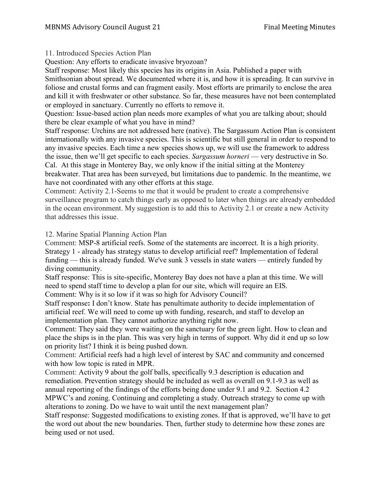## 11. Introduced Species Action Plan

Question: Any efforts to eradicate invasive bryozoan?

Staff response: Most likely this species has its origins in Asia. Published a paper with Smithsonian about spread. We documented where it is, and how it is spreading. It can survive in foliose and crustal forms and can fragment easily. Most efforts are primarily to enclose the area and kill it with freshwater or other substance. So far, these measures have not been contemplated or employed in sanctuary. Currently no efforts to remove it.

Question: Issue-based action plan needs more examples of what you are talking about; should there be clear example of what you have in mind?

Staff response: Urchins are not addressed here (native). The Sargassum Action Plan is consistent internationally with any invasive species. This is scientific but still general in order to respond to any invasive species. Each time a new species shows up, we will use the framework to address the issue, then we'll get specific to each species. *Sargassum horneri* — very destructive in So. Cal. At this stage in Monterey Bay, we only know if the initial sitting at the Monterey breakwater. That area has been surveyed, but limitations due to pandemic. In the meantime, we have not coordinated with any other efforts at this stage.

Comment: Activity 2.1-Seems to me that it would be prudent to create a comprehensive surveillance program to catch things early as opposed to later when things are already embedded in the ocean environment. My suggestion is to add this to Activity 2.1 or create a new Activity that addresses this issue.

## 12. Marine Spatial Planning Action Plan

Comment: MSP-8 artificial reefs. Some of the statements are incorrect. It is a high priority. Strategy 1 - already has strategy status to develop artificial reef? Implementation of federal funding — this is already funded. We've sunk 3 vessels in state waters — entirely funded by diving community.

Staff response: This is site-specific, Monterey Bay does not have a plan at this time. We will need to spend staff time to develop a plan for our site, which will require an EIS.

Comment: Why is it so low if it was so high for Advisory Council?

Staff response**:** I don't know. State has penultimate authority to decide implementation of artificial reef. We will need to come up with funding, research, and staff to develop an implementation plan. They cannot authorize anything right now.

Comment: They said they were waiting on the sanctuary for the green light. How to clean and place the ships is in the plan. This was very high in terms of support. Why did it end up so low on priority list? I think it is being pushed down.

Comment: Artificial reefs had a high level of interest by SAC and community and concerned with how low topic is rated in MPR.

Comment: Activity 9 about the golf balls, specifically 9.3 description is education and remediation. Prevention strategy should be included as well as overall on 9.1-9.3 as well as annual reporting of the findings of the efforts being done under 9.1 and 9.2. Section 4.2 MPWC's and zoning. Continuing and completing a study. Outreach strategy to come up with alterations to zoning. Do we have to wait until the next management plan?

Staff response: Suggested modifications to existing zones. If that is approved, we'll have to get the word out about the new boundaries. Then, further study to determine how these zones are being used or not used.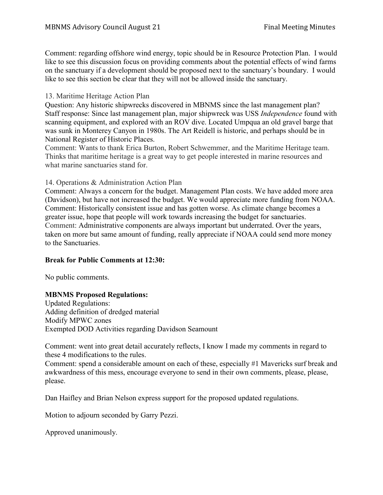Comment: regarding offshore wind energy, topic should be in Resource Protection Plan. I would like to see this discussion focus on providing comments about the potential effects of wind farms on the sanctuary if a development should be proposed next to the sanctuary's boundary. I would like to see this section be clear that they will not be allowed inside the sanctuary.

13. Maritime Heritage Action Plan

Question: Any historic shipwrecks discovered in MBNMS since the last management plan? Staff response: Since last management plan, major shipwreck was USS *Independence* found with scanning equipment, and explored with an ROV dive. Located Umpqua an old gravel barge that was sunk in Monterey Canyon in 1980s. The Art Reidell is historic, and perhaps should be in National Register of Historic Places.

Comment: Wants to thank Erica Burton, Robert Schwemmer, and the Maritime Heritage team. Thinks that maritime heritage is a great way to get people interested in marine resources and what marine sanctuaries stand for.

#### 14. Operations & Administration Action Plan

Comment: Always a concern for the budget. Management Plan costs. We have added more area (Davidson), but have not increased the budget. We would appreciate more funding from NOAA. Comment: Historically consistent issue and has gotten worse. As climate change becomes a greater issue, hope that people will work towards increasing the budget for sanctuaries. Comment: Administrative components are always important but underrated. Over the years, taken on more but same amount of funding, really appreciate if NOAA could send more money to the Sanctuaries.

## **Break for Public Comments at 12:30:**

No public comments.

#### **MBNMS Proposed Regulations:**

Updated Regulations: Adding definition of dredged material Modify MPWC zones Exempted DOD Activities regarding Davidson Seamount

Comment: went into great detail accurately reflects, I know I made my comments in regard to these 4 modifications to the rules.

Comment: spend a considerable amount on each of these, especially #1 Mavericks surf break and awkwardness of this mess, encourage everyone to send in their own comments, please, please, please.

Dan Haifley and Brian Nelson express support for the proposed updated regulations.

Motion to adjourn seconded by Garry Pezzi.

Approved unanimously.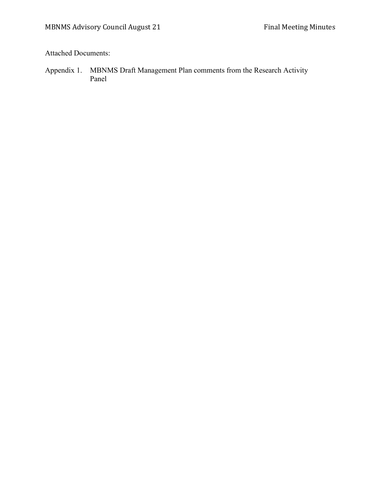Attached Documents:

Appendix 1. MBNMS Draft Management Plan comments from the Research Activity Panel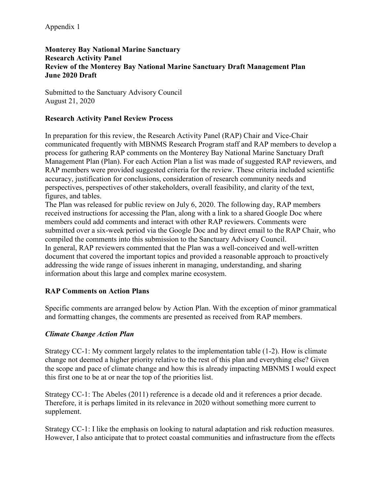## **Monterey Bay National Marine Sanctuary Research Activity Panel Review of the Monterey Bay National Marine Sanctuary Draft Management Plan June 2020 Draft**

Submitted to the Sanctuary Advisory Council August 21, 2020

## **Research Activity Panel Review Process**

In preparation for this review, the Research Activity Panel (RAP) Chair and Vice-Chair communicated frequently with MBNMS Research Program staff and RAP members to develop a process for gathering RAP comments on the Monterey Bay National Marine Sanctuary Draft Management Plan (Plan). For each Action Plan a list was made of suggested RAP reviewers, and RAP members were provided suggested criteria for the review. These criteria included scientific accuracy, justification for conclusions, consideration of research community needs and perspectives, perspectives of other stakeholders, overall feasibility, and clarity of the text, figures, and tables.

The Plan was released for public review on July 6, 2020. The following day, RAP members received instructions for accessing the Plan, along with a link to a shared Google Doc where members could add comments and interact with other RAP reviewers. Comments were submitted over a six-week period via the Google Doc and by direct email to the RAP Chair, who compiled the comments into this submission to the Sanctuary Advisory Council. In general, RAP reviewers commented that the Plan was a well-conceived and well-written document that covered the important topics and provided a reasonable approach to proactively addressing the wide range of issues inherent in managing, understanding, and sharing information about this large and complex marine ecosystem.

## **RAP Comments on Action Plans**

Specific comments are arranged below by Action Plan. With the exception of minor grammatical and formatting changes, the comments are presented as received from RAP members.

## *Climate Change Action Plan*

Strategy CC-1: My comment largely relates to the implementation table (1-2). How is climate change not deemed a higher priority relative to the rest of this plan and everything else? Given the scope and pace of climate change and how this is already impacting MBNMS I would expect this first one to be at or near the top of the priorities list.

Strategy CC-1: The Abeles (2011) reference is a decade old and it references a prior decade. Therefore, it is perhaps limited in its relevance in 2020 without something more current to supplement.

Strategy CC-1: I like the emphasis on looking to natural adaptation and risk reduction measures. However, I also anticipate that to protect coastal communities and infrastructure from the effects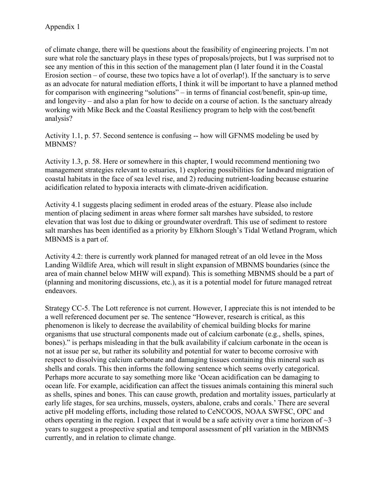of climate change, there will be questions about the feasibility of engineering projects. I'm not sure what role the sanctuary plays in these types of proposals/projects, but I was surprised not to see any mention of this in this section of the management plan (I later found it in the Coastal Erosion section – of course, these two topics have a lot of overlap!). If the sanctuary is to serve as an advocate for natural mediation efforts, I think it will be important to have a planned method for comparison with engineering "solutions" – in terms of financial cost/benefit, spin-up time, and longevity – and also a plan for how to decide on a course of action. Is the sanctuary already working with Mike Beck and the Coastal Resiliency program to help with the cost/benefit analysis?

Activity 1.1, p. 57. Second sentence is confusing -- how will GFNMS modeling be used by MBNMS?

Activity 1.3, p. 58. Here or somewhere in this chapter, I would recommend mentioning two management strategies relevant to estuaries, 1) exploring possibilities for landward migration of coastal habitats in the face of sea level rise, and 2) reducing nutrient-loading because estuarine acidification related to hypoxia interacts with climate-driven acidification.

Activity 4.1 suggests placing sediment in eroded areas of the estuary. Please also include mention of placing sediment in areas where former salt marshes have subsided, to restore elevation that was lost due to diking or groundwater overdraft. This use of sediment to restore salt marshes has been identified as a priority by Elkhorn Slough's Tidal Wetland Program, which MBNMS is a part of.

Activity 4.2: there is currently work planned for managed retreat of an old levee in the Moss Landing Wildlife Area, which will result in slight expansion of MBNMS boundaries (since the area of main channel below MHW will expand). This is something MBNMS should be a part of (planning and monitoring discussions, etc.), as it is a potential model for future managed retreat endeavors.

Strategy CC-5. The Lott reference is not current. However, I appreciate this is not intended to be a well referenced document per se. The sentence "However, research is critical, as this phenomenon is likely to decrease the availability of chemical building blocks for marine organisms that use structural components made out of calcium carbonate (e.g., shells, spines, bones)." is perhaps misleading in that the bulk availability if calcium carbonate in the ocean is not at issue per se, but rather its solubility and potential for water to become corrosive with respect to dissolving calcium carbonate and damaging tissues containing this mineral such as shells and corals. This then informs the following sentence which seems overly categorical. Perhaps more accurate to say something more like 'Ocean acidification can be damaging to ocean life. For example, acidification can affect the tissues animals containing this mineral such as shells, spines and bones. This can cause growth, predation and mortality issues, particularly at early life stages, for sea urchins, mussels, oysters, abalone, crabs and corals.' There are several active pH modeling efforts, including those related to CeNCOOS, NOAA SWFSC, OPC and others operating in the region. I expect that it would be a safe activity over a time horizon of  $\sim$ 3 years to suggest a prospective spatial and temporal assessment of pH variation in the MBNMS currently, and in relation to climate change.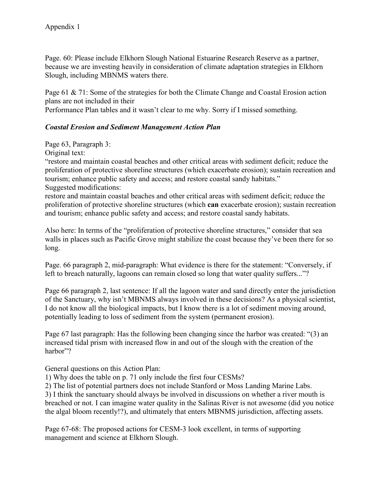Page. 60: Please include Elkhorn Slough National Estuarine Research Reserve as a partner, because we are investing heavily in consideration of climate adaptation strategies in Elkhorn Slough, including MBNMS waters there.

Page 61 & 71: Some of the strategies for both the Climate Change and Coastal Erosion action plans are not included in their

Performance Plan tables and it wasn't clear to me why. Sorry if I missed something.

## *Coastal Erosion and Sediment Management Action Plan*

Page 63, Paragraph 3:

Original text:

"restore and maintain coastal beaches and other critical areas with sediment deficit; reduce the proliferation of protective shoreline structures (which exacerbate erosion); sustain recreation and tourism; enhance public safety and access; and restore coastal sandy habitats." Suggested modifications:

restore and maintain coastal beaches and other critical areas with sediment deficit; reduce the proliferation of protective shoreline structures (which **can** exacerbate erosion); sustain recreation and tourism; enhance public safety and access; and restore coastal sandy habitats.

Also here: In terms of the "proliferation of protective shoreline structures," consider that sea walls in places such as Pacific Grove might stabilize the coast because they've been there for so long.

Page. 66 paragraph 2, mid-paragraph: What evidence is there for the statement: "Conversely, if left to breach naturally, lagoons can remain closed so long that water quality suffers..."?

Page 66 paragraph 2, last sentence: If all the lagoon water and sand directly enter the jurisdiction of the Sanctuary, why isn't MBNMS always involved in these decisions? As a physical scientist, I do not know all the biological impacts, but I know there is a lot of sediment moving around, potentially leading to loss of sediment from the system (permanent erosion).

Page 67 last paragraph: Has the following been changing since the harbor was created: "(3) an increased tidal prism with increased flow in and out of the slough with the creation of the harbor"?

General questions on this Action Plan:

1) Why does the table on p. 71 only include the first four CESMs?

2) The list of potential partners does not include Stanford or Moss Landing Marine Labs.

3) I think the sanctuary should always be involved in discussions on whether a river mouth is breached or not. I can imagine water quality in the Salinas River is not awesome (did you notice the algal bloom recently!?), and ultimately that enters MBNMS jurisdiction, affecting assets.

Page 67-68: The proposed actions for CESM-3 look excellent, in terms of supporting management and science at Elkhorn Slough.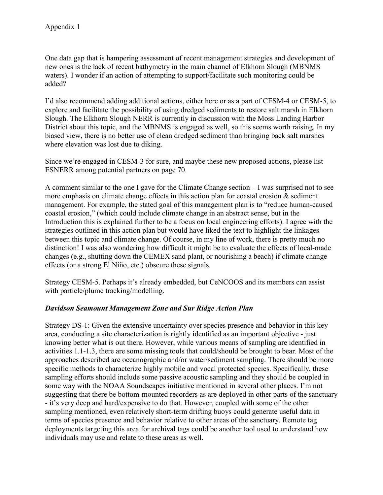One data gap that is hampering assessment of recent management strategies and development of new ones is the lack of recent bathymetry in the main channel of Elkhorn Slough (MBNMS waters). I wonder if an action of attempting to support/facilitate such monitoring could be added?

I'd also recommend adding additional actions, either here or as a part of CESM-4 or CESM-5, to explore and facilitate the possibility of using dredged sediments to restore salt marsh in Elkhorn Slough. The Elkhorn Slough NERR is currently in discussion with the Moss Landing Harbor District about this topic, and the MBNMS is engaged as well, so this seems worth raising. In my biased view, there is no better use of clean dredged sediment than bringing back salt marshes where elevation was lost due to diking.

Since we're engaged in CESM-3 for sure, and maybe these new proposed actions, please list ESNERR among potential partners on page 70.

A comment similar to the one I gave for the Climate Change section – I was surprised not to see more emphasis on climate change effects in this action plan for coastal erosion  $\&$  sediment management. For example, the stated goal of this management plan is to "reduce human-caused coastal erosion," (which could include climate change in an abstract sense, but in the Introduction this is explained further to be a focus on local engineering efforts). I agree with the strategies outlined in this action plan but would have liked the text to highlight the linkages between this topic and climate change. Of course, in my line of work, there is pretty much no distinction! I was also wondering how difficult it might be to evaluate the effects of local-made changes (e.g., shutting down the CEMEX sand plant, or nourishing a beach) if climate change effects (or a strong El Niño, etc.) obscure these signals.

Strategy CESM-5. Perhaps it's already embedded, but CeNCOOS and its members can assist with particle/plume tracking/modelling.

## *Davidson Seamount Management Zone and Sur Ridge Action Plan*

Strategy DS-1: Given the extensive uncertainty over species presence and behavior in this key area, conducting a site characterization is rightly identified as an important objective - just knowing better what is out there. However, while various means of sampling are identified in activities 1.1-1.3, there are some missing tools that could/should be brought to bear. Most of the approaches described are oceanographic and/or water/sediment sampling. There should be more specific methods to characterize highly mobile and vocal protected species. Specifically, these sampling efforts should include some passive acoustic sampling and they should be coupled in some way with the NOAA Soundscapes initiative mentioned in several other places. I'm not suggesting that there be bottom-mounted recorders as are deployed in other parts of the sanctuary - it's very deep and hard/expensive to do that. However, coupled with some of the other sampling mentioned, even relatively short-term drifting buoys could generate useful data in terms of species presence and behavior relative to other areas of the sanctuary. Remote tag deployments targeting this area for archival tags could be another tool used to understand how individuals may use and relate to these areas as well.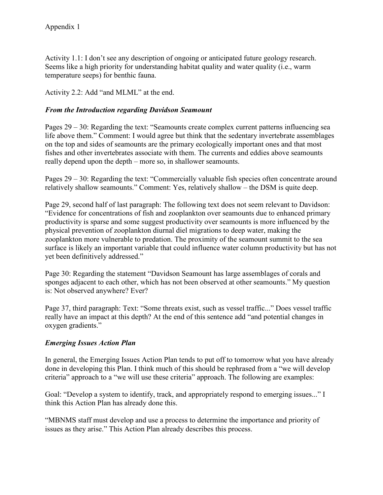Activity 1.1: I don't see any description of ongoing or anticipated future geology research. Seems like a high priority for understanding habitat quality and water quality (i.e., warm temperature seeps) for benthic fauna.

Activity 2.2: Add "and MLML" at the end.

## *From the Introduction regarding Davidson Seamount*

Pages 29 – 30: Regarding the text: "Seamounts create complex current patterns influencing sea life above them." Comment: I would agree but think that the sedentary invertebrate assemblages on the top and sides of seamounts are the primary ecologically important ones and that most fishes and other invertebrates associate with them. The currents and eddies above seamounts really depend upon the depth – more so, in shallower seamounts.

Pages 29 – 30: Regarding the text: "Commercially valuable fish species often concentrate around relatively shallow seamounts." Comment: Yes, relatively shallow – the DSM is quite deep.

Page 29, second half of last paragraph: The following text does not seem relevant to Davidson: "Evidence for concentrations of fish and zooplankton over seamounts due to enhanced primary productivity is sparse and some suggest productivity over seamounts is more influenced by the physical prevention of zooplankton diurnal diel migrations to deep water, making the zooplankton more vulnerable to predation. The proximity of the seamount summit to the sea surface is likely an important variable that could influence water column productivity but has not yet been definitively addressed."

Page 30: Regarding the statement "Davidson Seamount has large assemblages of corals and sponges adjacent to each other, which has not been observed at other seamounts." My question is: Not observed anywhere? Ever?

Page 37, third paragraph: Text: "Some threats exist, such as vessel traffic..." Does vessel traffic really have an impact at this depth? At the end of this sentence add "and potential changes in oxygen gradients."

#### *Emerging Issues Action Plan*

In general, the Emerging Issues Action Plan tends to put off to tomorrow what you have already done in developing this Plan. I think much of this should be rephrased from a "we will develop criteria" approach to a "we will use these criteria" approach. The following are examples:

Goal: "Develop a system to identify, track, and appropriately respond to emerging issues..." I think this Action Plan has already done this.

"MBNMS staff must develop and use a process to determine the importance and priority of issues as they arise." This Action Plan already describes this process.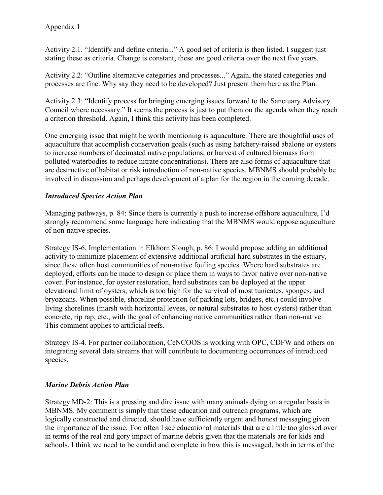Activity 2.1. "Identify and define criteria..." A good set of criteria is then listed. I suggest just stating these as criteria. Change is constant; these are good criteria over the next five years.

Activity 2.2: "Outline alternative categories and processes..." Again, the stated categories and processes are fine. Why say they need to be developed? Just present them here as the Plan.

Activity 2.3: "Identify process for bringing emerging issues forward to the Sanctuary Advisory Council where necessary." It seems the process is just to put them on the agenda when they reach a criterion threshold. Again, I think this activity has been completed.

One emerging issue that might be worth mentioning is aquaculture. There are thoughtful uses of aquaculture that accomplish conservation goals (such as using hatchery-raised abalone or oysters to increase numbers of decimated native populations, or harvest of cultured biomass from polluted waterbodies to reduce nitrate concentrations). There are also forms of aquaculture that are destructive of habitat or risk introduction of non-native species. MBNMS should probably be involved in discussion and perhaps development of a plan for the region in the coming decade.

# *Introduced Species Action Plan*

Managing pathways, p. 84: Since there is currently a push to increase offshore aquaculture, I'd strongly recommend some language here indicating that the MBNMS would oppose aquaculture of non-native species.

Strategy IS-6, Implementation in Elkhorn Slough, p. 86: I would propose adding an additional activity to minimize placement of extensive additional artificial hard substrates in the estuary, since these often host communities of non-native fouling species. Where hard substrates are deployed, efforts can be made to design or place them in ways to favor native over non-native cover. For instance, for oyster restoration, hard substrates can be deployed at the upper elevational limit of oysters, which is too high for the survival of most tunicates, sponges, and bryozoans. When possible, shoreline protection (of parking lots, bridges, etc.) could involve living shorelines (marsh with horizontal levees, or natural substrates to host oysters) rather than concrete, rip rap, etc., with the goal of enhancing native communities rather than non-native. This comment applies to artificial reefs.

Strategy IS-4. For partner collaboration, CeNCOOS is working with OPC, CDFW and others on integrating several data streams that will contribute to documenting occurrences of introduced species.

# *Marine Debris Action Plan*

Strategy MD-2: This is a pressing and dire issue with many animals dying on a regular basis in MBNMS. My comment is simply that these education and outreach programs, which are logically constructed and directed, should have sufficiently urgent and honest messaging given the importance of the issue. Too often I see educational materials that are a little too glossed over in terms of the real and gory impact of marine debris given that the materials are for kids and schools. I think we need to be candid and complete in how this is messaged, both in terms of the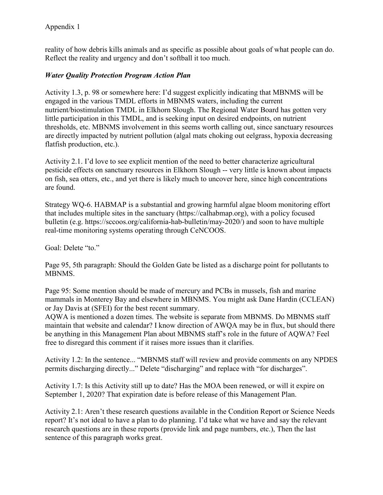reality of how debris kills animals and as specific as possible about goals of what people can do. Reflect the reality and urgency and don't softball it too much.

## *Water Quality Protection Program Action Plan*

Activity 1.3, p. 98 or somewhere here: I'd suggest explicitly indicating that MBNMS will be engaged in the various TMDL efforts in MBNMS waters, including the current nutrient/biostimulation TMDL in Elkhorn Slough. The Regional Water Board has gotten very little participation in this TMDL, and is seeking input on desired endpoints, on nutrient thresholds, etc. MBNMS involvement in this seems worth calling out, since sanctuary resources are directly impacted by nutrient pollution (algal mats choking out eelgrass, hypoxia decreasing flatfish production, etc.).

Activity 2.1. I'd love to see explicit mention of the need to better characterize agricultural pesticide effects on sanctuary resources in Elkhorn Slough -- very little is known about impacts on fish, sea otters, etc., and yet there is likely much to uncover here, since high concentrations are found.

Strategy WQ-6. HABMAP is a substantial and growing harmful algae bloom monitoring effort that includes multiple sites in the sanctuary (https://calhabmap.org), with a policy focused bulletin (e.g. https://sccoos.org/california-hab-bulletin/may-2020/) and soon to have multiple real-time monitoring systems operating through CeNCOOS.

Goal: Delete "to."

Page 95, 5th paragraph: Should the Golden Gate be listed as a discharge point for pollutants to MBNMS.

Page 95: Some mention should be made of mercury and PCBs in mussels, fish and marine mammals in Monterey Bay and elsewhere in MBNMS. You might ask Dane Hardin (CCLEAN) or Jay Davis at (SFEI) for the best recent summary.

AQWA is mentioned a dozen times. The website is separate from MBNMS. Do MBNMS staff maintain that website and calendar? I know direction of AWQA may be in flux, but should there be anything in this Management Plan about MBNMS staff's role in the future of AQWA? Feel free to disregard this comment if it raises more issues than it clarifies.

Activity 1.2: In the sentence... "MBNMS staff will review and provide comments on any NPDES permits discharging directly..." Delete "discharging" and replace with "for discharges".

Activity 1.7: Is this Activity still up to date? Has the MOA been renewed, or will it expire on September 1, 2020? That expiration date is before release of this Management Plan.

Activity 2.1: Aren't these research questions available in the Condition Report or Science Needs report? It's not ideal to have a plan to do planning. I'd take what we have and say the relevant research questions are in these reports (provide link and page numbers, etc.), Then the last sentence of this paragraph works great.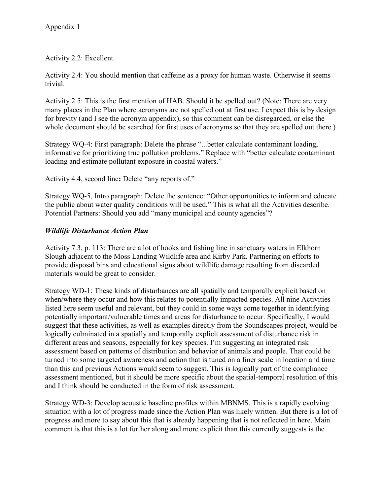Activity 2.2: Excellent.

Activity 2.4: You should mention that caffeine as a proxy for human waste. Otherwise it seems trivial.

Activity 2.5: This is the first mention of HAB. Should it be spelled out? (Note: There are very many places in the Plan where acronyms are not spelled out at first use. I expect this is by design for brevity (and I see the acronym appendix), so this comment can be disregarded, or else the whole document should be searched for first uses of acronyms so that they are spelled out there.)

Strategy WQ-4: First paragraph: Delete the phrase "...better calculate contaminant loading, informative for prioritizing true pollution problems." Replace with "better calculate contaminant loading and estimate pollutant exposure in coastal waters."

Activity 4.4, second line**:** Delete "any reports of."

Strategy WQ-5, Intro paragraph: Delete the sentence: "Other opportunities to inform and educate the public about water quality conditions will be used." This is what all the Activities describe. Potential Partners: Should you add "many municipal and county agencies"?

## *Wildlife Disturbance Action Plan*

Activity 7.3, p. 113: There are a lot of hooks and fishing line in sanctuary waters in Elkhorn Slough adjacent to the Moss Landing Wildlife area and Kirby Park. Partnering on efforts to provide disposal bins and educational signs about wildlife damage resulting from discarded materials would be great to consider.

Strategy WD-1: These kinds of disturbances are all spatially and temporally explicit based on when/where they occur and how this relates to potentially impacted species. All nine Activities listed here seem useful and relevant, but they could in some ways come together in identifying potentially important/vulnerable times and areas for disturbance to occur. Specifically, I would suggest that these activities, as well as examples directly from the Soundscapes project, would be logically culminated in a spatially and temporally explicit assessment of disturbance risk in different areas and seasons, especially for key species. I'm suggesting an integrated risk assessment based on patterns of distribution and behavior of animals and people. That could be turned into some targeted awareness and action that is tuned on a finer scale in location and time than this and previous Actions would seem to suggest. This is logically part of the compliance assessment mentioned, but it should be more specific about the spatial-temporal resolution of this and I think should be conducted in the form of risk assessment.

Strategy WD-3: Develop acoustic baseline profiles within MBNMS. This is a rapidly evolving situation with a lot of progress made since the Action Plan was likely written. But there is a lot of progress and more to say about this that is already happening that is not reflected in here. Main comment is that this is a lot further along and more explicit than this currently suggests is the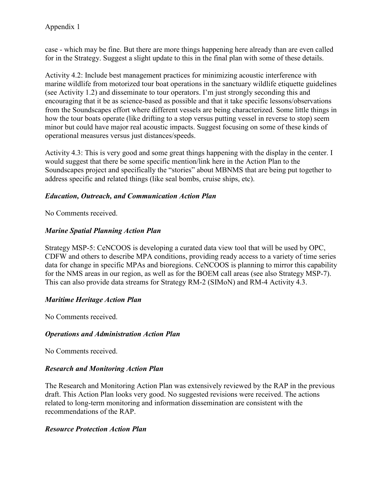case - which may be fine. But there are more things happening here already than are even called for in the Strategy. Suggest a slight update to this in the final plan with some of these details.

Activity 4.2: Include best management practices for minimizing acoustic interference with marine wildlife from motorized tour boat operations in the sanctuary wildlife etiquette guidelines (see Activity 1.2) and disseminate to tour operators. I'm just strongly seconding this and encouraging that it be as science-based as possible and that it take specific lessons/observations from the Soundscapes effort where different vessels are being characterized. Some little things in how the tour boats operate (like drifting to a stop versus putting vessel in reverse to stop) seem minor but could have major real acoustic impacts. Suggest focusing on some of these kinds of operational measures versus just distances/speeds.

Activity 4.3: This is very good and some great things happening with the display in the center. I would suggest that there be some specific mention/link here in the Action Plan to the Soundscapes project and specifically the "stories" about MBNMS that are being put together to address specific and related things (like seal bombs, cruise ships, etc).

## *Education, Outreach, and Communication Action Plan*

No Comments received.

# *Marine Spatial Planning Action Plan*

Strategy MSP-5: CeNCOOS is developing a curated data view tool that will be used by OPC, CDFW and others to describe MPA conditions, providing ready access to a variety of time series data for change in specific MPAs and bioregions. CeNCOOS is planning to mirror this capability for the NMS areas in our region, as well as for the BOEM call areas (see also Strategy MSP-7). This can also provide data streams for Strategy RM-2 (SIMoN) and RM-4 Activity 4.3.

## *Maritime Heritage Action Plan*

No Comments received.

## *Operations and Administration Action Plan*

No Comments received.

## *Research and Monitoring Action Plan*

The Research and Monitoring Action Plan was extensively reviewed by the RAP in the previous draft. This Action Plan looks very good. No suggested revisions were received. The actions related to long-term monitoring and information dissemination are consistent with the recommendations of the RAP.

## *Resource Protection Action Plan*